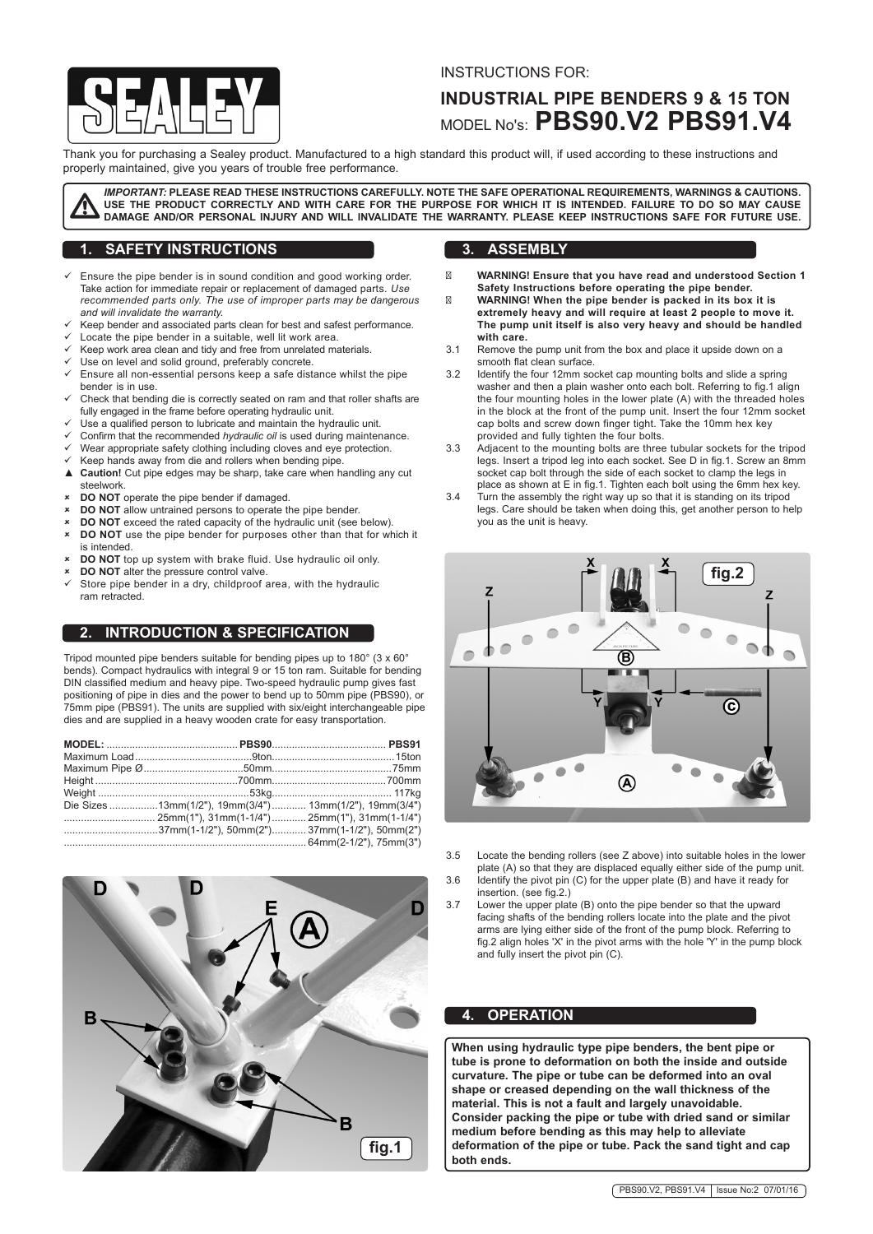

#### INSTRUCTIONS FOR:

# **INDUSTRIAL PIPE BENDERS 9 & 15 TON**  MODEL No's: **PBS90.V2 PBS91.V4**

Thank you for purchasing a Sealey product. Manufactured to a high standard this product will, if used according to these instructions and properly maintained, give you years of trouble free performance.

*IMPORTANT:* **PLEASE READ THESE INSTRUCTIONS CAREFULLY. NOTE THE SAFE OPERATIONAL REQUIREMENTS, WARNINGS & CAUTIONS. USE THE PRODUCT CORRECTLY AND WITH CARE FOR THE PURPOSE FOR WHICH IT IS INTENDED. FAILURE TO DO SO MAY CAUSE DAMAGE AND/OR PERSONAL INJURY AND WILL INVALIDATE THE WARRANTY. PLEASE KEEP INSTRUCTIONS SAFE FOR FUTURE USE.**

# **1. SAFETY INSTRUCTIONS**

- Ensure the pipe bender is in sound condition and good working order. Take action for immediate repair or replacement of damaged parts. *Use recommended parts only. The use of improper parts may be dangerous and will invalidate the warranty.*
- Keep bender and associated parts clean for best and safest performance.
- Locate the pipe bender in a suitable, well lit work area.
- Keep work area clean and tidy and free from unrelated materials.
- Use on level and solid ground, preferably concrete.
- ü Ensure all non-essential persons keep a safe distance whilst the pipe
- bender is in use. Check that bending die is correctly seated on ram and that roller shafts are fully engaged in the frame before operating hydraulic unit.
- 
- Use a qualified person to lubricate and maintain the hydraulic unit.
- Confirm that the recommended *hydraulic oil* is used during maintenance.
- Wear appropriate safety clothing including cloves and eye protection.
- $\checkmark$  Keep hands away from die and rollers when bending pipe.<br>▲ Caution! Cut pipe edges may be sharp, take care when has **Caution!** Cut pipe edges may be sharp, take care when handling any cut steelwork.
- **DO NOT** operate the pipe bender if damaged.
- **DO NOT** allow untrained persons to operate the pipe bender.
- **DO NOT** exceed the rated capacity of the hydraulic unit (see below).
- DO NOT use the pipe bender for purposes other than that for which it is intended.
- û **DO NOT** top up system with brake fluid. Use hydraulic oil only.
- **DO NOT** alter the pressure control valve.
- Store pipe bender in a dry, childproof area, with the hydraulic ram retracted.

## **2. INTRODUCTION & SPECIFICATION**

Tripod mounted pipe benders suitable for bending pipes up to 180° (3 x 60° bends). Compact hydraulics with integral 9 or 15 ton ram. Suitable for bending DIN classified medium and heavy pipe. Two-speed hydraulic pump gives fast positioning of pipe in dies and the power to bend up to 50mm pipe (PBS90), or 75mm pipe (PBS91). The units are supplied with six/eight interchangeable pipe dies and are supplied in a heavy wooden crate for easy transportation.

| Die Sizes 13mm(1/2"), 19mm(3/4")  13mm(1/2"), 19mm(3/4") |  |
|----------------------------------------------------------|--|
|                                                          |  |
| 37mm(1-1/2"), 50mm(2")37mm(1-1/2"), 50mm(2")             |  |
|                                                          |  |



#### **3. ASSEMBLY**

**WARNING! Ensure that you have read and understood Section 1 Safety Instructions before operating the pipe bender. WARNING! When the pipe bender is packed in its box it is extremely heavy and will require at least 2 people to move it. The pump unit itself is also very heavy and should be handled with care.** 

- 3.1 Remove the pump unit from the box and place it upside down on a smooth flat clean surface.
- 3.2 Identify the four 12mm socket cap mounting bolts and slide a spring washer and then a plain washer onto each bolt. Referring to fig.1 align the four mounting holes in the lower plate (A) with the threaded holes in the block at the front of the pump unit. Insert the four 12mm socket cap bolts and screw down finger tight. Take the 10mm hex key provided and fully tighten the four bolts.
- 3.3 Adjacent to the mounting bolts are three tubular sockets for the tripod legs. Insert a tripod leg into each socket. See D in fig.1. Screw an 8mm socket cap bolt through the side of each socket to clamp the legs in place as shown at E in fig.1. Tighten each bolt using the 6mm hex key.
- 3.4 Turn the assembly the right way up so that it is standing on its tripod legs. Care should be taken when doing this, get another person to help you as the unit is heavy.



- 3.5 Locate the bending rollers (see Z above) into suitable holes in the lower plate (A) so that they are displaced equally either side of the pump unit.
- 3.6 Identify the pivot pin (C) for the upper plate (B) and have it ready for insertion. (see fig.2.)
- 3.7 Lower the upper plate (B) onto the pipe bender so that the upward facing shafts of the bending rollers locate into the plate and the pivot arms are lying either side of the front of the pump block. Referring to fig.2 align holes 'X' in the pivot arms with the hole 'Y' in the pump block and fully insert the pivot pin (C).

#### **4. OPERATION**

**When using hydraulic type pipe benders, the bent pipe or tube is prone to deformation on both the inside and outside curvature. The pipe or tube can be deformed into an oval shape or creased depending on the wall thickness of the material. This is not a fault and largely unavoidable. Consider packing the pipe or tube with dried sand or similar medium before bending as this may help to alleviate deformation of the pipe or tube. Pack the sand tight and cap**